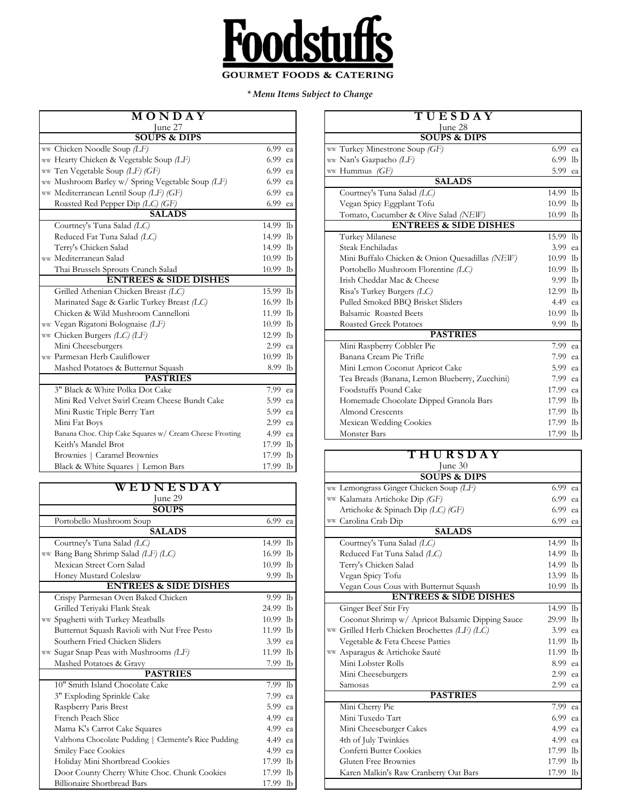

*\* Menu Items Subject to Change*

| MONDAY                                                  |          | TUESDAY                                        |                      |
|---------------------------------------------------------|----------|------------------------------------------------|----------------------|
| June 27                                                 |          | June 28                                        |                      |
| <b>SOUPS &amp; DIPS</b>                                 |          | <b>SOUPS &amp; DIPS</b>                        |                      |
| ww Chicken Noodle Soup (LF)                             | 6.99 ea  | ww Turkey Minestrone Soup (GF)                 | $6.99$ ea            |
| ww Hearty Chicken & Vegetable Soup (LF)                 | 6.99 ea  | ww Nan's Gazpacho (LF)                         | 6.99 lb              |
| ww Ten Vegetable Soup (LF) (GF)                         | 6.99 ea  | ww Hummus (GF)                                 | 5.99 ea              |
| ww Mushroom Barley w/ Spring Vegetable Soup (LF)        | 6.99 ea  | <b>SALADS</b>                                  |                      |
| ww Mediterranean Lentil Soup (LF) (GF)                  | 6.99 ea  | Courtney's Tuna Salad (LC)                     | 14.99 lb             |
| Roasted Red Pepper Dip (LC) (GF)                        | 6.99 ea  | Vegan Spicy Eggplant Tofu                      | 10.99 lb             |
| <b>SALADS</b>                                           |          | Tomato, Cucumber & Olive Salad (NEW)           | 10.99 lb             |
| Courtney's Tuna Salad (LC)                              | 14.99 lb | <b>ENTREES &amp; SIDE DISHES</b>               |                      |
| Reduced Fat Tuna Salad (LC)                             | 14.99 lb | Turkey Milanese                                | 15.99 lb             |
| Terry's Chicken Salad                                   | 14.99 lb | Steak Enchiladas                               | 3.99 ea              |
| ww Mediterranean Salad                                  | 10.99 lb | Mini Buffalo Chicken & Onion Quesadillas (NEW) | 10.99 lb             |
| Thai Brussels Sprouts Crunch Salad                      | 10.99 lb | Portobello Mushroom Florentine (LC)            | 10.99 lb             |
| <b>ENTREES &amp; SIDE DISHES</b>                        |          | Irish Cheddar Mac & Cheese                     | 9.99 lb              |
| Grilled Athenian Chicken Breast (LC)                    | 15.99 lb | Risa's Turkey Burgers (LC)                     | 12.99 lb             |
| Marinated Sage & Garlic Turkey Breast (LC)              | 16.99 lb | Pulled Smoked BBQ Brisket Sliders              | 4.49 ea              |
| Chicken & Wild Mushroom Cannelloni                      | 11.99 lb | Balsamic Roasted Beets                         | 10.99 lb             |
| ww Vegan Rigatoni Bolognaise (LF)                       | 10.99 lb | <b>Roasted Greek Potatoes</b>                  | 9.99 lb              |
| ww Chicken Burgers $(LC)$ $(LF)$                        | 12.99 lb | <b>PASTRIES</b>                                |                      |
| Mini Cheeseburgers                                      | 2.99 ea  | Mini Raspberry Cobbler Pie                     | $\overline{7.99}$ ea |
| ww Parmesan Herb Cauliflower                            | 10.99 lb | Banana Cream Pie Trifle                        | 7.99 ea              |
| Mashed Potatoes & Butternut Squash                      | 8.99 lb  | Mini Lemon Coconut Apricot Cake                | 5.99 ea              |
| <b>PASTRIES</b>                                         |          | Tea Breads (Banana, Lemon Blueberry, Zucchini) | 7.99 ea              |
| 3" Black & White Polka Dot Cake                         | 7.99 ea  | Foodstuffs Pound Cake                          | 17.99 ea             |
| Mini Red Velvet Swirl Cream Cheese Bundt Cake           | 5.99 ea  | Homemade Chocolate Dipped Granola Bars         | 17.99 lb             |
| Mini Rustic Triple Berry Tart                           | 5.99 ea  | Almond Crescents                               | 17.99 lb             |
| Mini Fat Boys                                           | 2.99 ea  | Mexican Wedding Cookies                        | 17.99 lb             |
| Banana Choc. Chip Cake Squares w/ Cream Cheese Frosting | 4.99 ea  | Monster Bars                                   | 17.99 lb             |
| Keith's Mandel Brot                                     | 17.99 lb |                                                |                      |
| Brownies   Caramel Brownies                             | 17.99 lb | THURSDAY                                       |                      |
| Black & White Squares   Lemon Bars                      | 17.99 lb | June 30                                        |                      |

| WEDNESDAY |                                                      |            |                |  |  |
|-----------|------------------------------------------------------|------------|----------------|--|--|
| June 29   |                                                      |            |                |  |  |
|           | <b>SOUPS</b>                                         |            |                |  |  |
|           | Portobello Mushroom Soup                             | 6.99       | ea             |  |  |
|           | <b>SALADS</b>                                        |            |                |  |  |
|           | Courtney's Tuna Salad (LC)                           | 14.99 lb   |                |  |  |
|           | ww Bang Bang Shrimp Salad (LF) (LC)                  | 16.99      | lb             |  |  |
|           | Mexican Street Corn Salad                            | $10.99$ lb |                |  |  |
|           | Honey Mustard Coleslaw                               | $9.99$ lb  |                |  |  |
|           | <b>ENTREES &amp; SIDE DISHES</b>                     |            |                |  |  |
|           | Crispy Parmesan Oven Baked Chicken                   | 9.99       | $1b$           |  |  |
|           | Grilled Teriyaki Flank Steak                         | 24.99      | 1 <sub>b</sub> |  |  |
|           | ww Spaghetti with Turkey Meatballs                   | 10.99      | - lb           |  |  |
|           | Butternut Squash Ravioli with Nut Free Pesto         | 11.99 lb   |                |  |  |
|           | Southern Fried Chicken Sliders                       | 3.99       | ea             |  |  |
|           | ww Sugar Snap Peas with Mushrooms (LF)               | 11.99      | -lb            |  |  |
|           | Mashed Potatoes & Gravy                              | 7.99 lb    |                |  |  |
|           | <b>PASTRIES</b>                                      |            |                |  |  |
|           | 10" Smith Island Chocolate Cake                      | 7.99 lb    |                |  |  |
|           | 3" Exploding Sprinkle Cake                           | 7.99       | ea             |  |  |
|           | Raspberry Paris Brest                                | 5.99 еа    |                |  |  |
|           | French Peach Slice                                   | 4.99       | ea             |  |  |
|           | Mama K's Carrot Cake Squares                         | 4.99       | ea             |  |  |
|           | Valrhona Chocolate Pudding   Clemente's Rice Pudding | 4.49       | ea             |  |  |
|           | <b>Smiley Face Cookies</b>                           | 4.99       | ea             |  |  |
|           | Holiday Mini Shortbread Cookies                      | $17.99$ lb |                |  |  |
|           | Door County Cherry White Choc. Chunk Cookies         | 17.99      | -lb            |  |  |
|           | Billionaire Shortbread Bars                          | 17.99 lb   |                |  |  |

| Iune 27<br>June 28<br><b>SOUPS &amp; DIPS</b><br><b>SOUPS &amp; DIPS</b><br>Chicken Noodle Soup (LF)<br>ww Turkey Minestrone Soup (GF)<br>6.99 ea<br>Hearty Chicken & Vegetable Soup (LF)<br>6.99<br>ww Nan's Gazpacho (LF)<br>ea<br>Ten Vegetable Soup (LF) (GF)<br>6.99<br>ww Hummus $(GF)$<br>ea<br><b>SALADS</b><br>Mushroom Barley w/ Spring Vegetable Soup (LF)<br>6.99<br>ea<br>Mediterranean Lentil Soup (LF) (GF)<br>6.99<br>Courtney's Tuna Salad (LC)<br>ea<br>Roasted Red Pepper Dip (LC) (GF)<br>6.99 ea<br>Vegan Spicy Eggplant Tofu<br><b>SALADS</b><br>Tomato, Cucumber & Olive Salad (NEW)<br><b>ENTREES &amp; SIDE DISHES</b><br>Courtney's Tuna Salad (LC)<br>14.99 lb |           |
|-------------------------------------------------------------------------------------------------------------------------------------------------------------------------------------------------------------------------------------------------------------------------------------------------------------------------------------------------------------------------------------------------------------------------------------------------------------------------------------------------------------------------------------------------------------------------------------------------------------------------------------------------------------------------------------------|-----------|
|                                                                                                                                                                                                                                                                                                                                                                                                                                                                                                                                                                                                                                                                                           |           |
|                                                                                                                                                                                                                                                                                                                                                                                                                                                                                                                                                                                                                                                                                           |           |
|                                                                                                                                                                                                                                                                                                                                                                                                                                                                                                                                                                                                                                                                                           | 6.99 ea   |
|                                                                                                                                                                                                                                                                                                                                                                                                                                                                                                                                                                                                                                                                                           | 6.99 lb   |
|                                                                                                                                                                                                                                                                                                                                                                                                                                                                                                                                                                                                                                                                                           | 5.99 ea   |
|                                                                                                                                                                                                                                                                                                                                                                                                                                                                                                                                                                                                                                                                                           |           |
|                                                                                                                                                                                                                                                                                                                                                                                                                                                                                                                                                                                                                                                                                           | 14.99 lb  |
|                                                                                                                                                                                                                                                                                                                                                                                                                                                                                                                                                                                                                                                                                           | 10.99 lb  |
|                                                                                                                                                                                                                                                                                                                                                                                                                                                                                                                                                                                                                                                                                           | 10.99 lb  |
|                                                                                                                                                                                                                                                                                                                                                                                                                                                                                                                                                                                                                                                                                           |           |
| Turkey Milanese<br>Reduced Fat Tuna Salad (LC)<br>14.99 lb                                                                                                                                                                                                                                                                                                                                                                                                                                                                                                                                                                                                                                | 15.99 lb  |
| Terry's Chicken Salad<br>Steak Enchiladas<br>14.99 lb                                                                                                                                                                                                                                                                                                                                                                                                                                                                                                                                                                                                                                     | 3.99 ea   |
| Mediterranean Salad<br>10.99 lb<br>Mini Buffalo Chicken & Onion Quesadillas (NEW)                                                                                                                                                                                                                                                                                                                                                                                                                                                                                                                                                                                                         | 10.99 lb  |
| Thai Brussels Sprouts Crunch Salad<br>Portobello Mushroom Florentine (LC)<br>10.99 lb                                                                                                                                                                                                                                                                                                                                                                                                                                                                                                                                                                                                     | 10.99 lb  |
| <b>ENTREES &amp; SIDE DISHES</b><br>Irish Cheddar Mac & Cheese                                                                                                                                                                                                                                                                                                                                                                                                                                                                                                                                                                                                                            | $9.99$ lb |
| Grilled Athenian Chicken Breast (LC)<br>15.99 lb<br>Risa's Turkey Burgers (LC)                                                                                                                                                                                                                                                                                                                                                                                                                                                                                                                                                                                                            | 12.99 lb  |
| Marinated Sage & Garlic Turkey Breast (LC)<br>16.99 lb<br>Pulled Smoked BBQ Brisket Sliders                                                                                                                                                                                                                                                                                                                                                                                                                                                                                                                                                                                               | 4.49 ea   |
| Balsamic Roasted Beets<br>Chicken & Wild Mushroom Cannelloni<br>11.99 lb                                                                                                                                                                                                                                                                                                                                                                                                                                                                                                                                                                                                                  | 10.99 lb  |
| Vegan Rigatoni Bolognaise (LF)<br>$10.99$ lb<br><b>Roasted Greek Potatoes</b>                                                                                                                                                                                                                                                                                                                                                                                                                                                                                                                                                                                                             | 9.99 lb   |
| <b>PASTRIES</b><br>12.99 lb<br>Chicken Burgers $(LC)$ $(LF)$                                                                                                                                                                                                                                                                                                                                                                                                                                                                                                                                                                                                                              |           |
| Mini Cheeseburgers<br>2.99 ea<br>Mini Raspberry Cobbler Pie                                                                                                                                                                                                                                                                                                                                                                                                                                                                                                                                                                                                                               | 7.99 ea   |
| Parmesan Herb Cauliflower<br>10.99 lb<br>Banana Cream Pie Trifle                                                                                                                                                                                                                                                                                                                                                                                                                                                                                                                                                                                                                          | 7.99 ea   |
| Mashed Potatoes & Butternut Squash<br>Mini Lemon Coconut Apricot Cake<br>8.99 lb                                                                                                                                                                                                                                                                                                                                                                                                                                                                                                                                                                                                          | 5.99 ea   |
| <b>PASTRIES</b><br>Tea Breads (Banana, Lemon Blueberry, Zucchini)                                                                                                                                                                                                                                                                                                                                                                                                                                                                                                                                                                                                                         | 7.99 ea   |
| 3" Black & White Polka Dot Cake<br>Foodstuffs Pound Cake<br>7.99 ea                                                                                                                                                                                                                                                                                                                                                                                                                                                                                                                                                                                                                       | 17.99 ea  |
| Mini Red Velvet Swirl Cream Cheese Bundt Cake<br>5.99<br>Homemade Chocolate Dipped Granola Bars<br>ea                                                                                                                                                                                                                                                                                                                                                                                                                                                                                                                                                                                     | 17.99 lb  |
| Mini Rustic Triple Berry Tart<br>5.99 ea<br><b>Almond Crescents</b>                                                                                                                                                                                                                                                                                                                                                                                                                                                                                                                                                                                                                       | 17.99 lb  |
| 2.99<br>Mini Fat Boys<br>Mexican Wedding Cookies<br>ea                                                                                                                                                                                                                                                                                                                                                                                                                                                                                                                                                                                                                                    | 17.99 lb  |
| Banana Choc. Chip Cake Squares w/ Cream Cheese Frosting<br>4.99 ea<br><b>Monster Bars</b>                                                                                                                                                                                                                                                                                                                                                                                                                                                                                                                                                                                                 | 17.99 lb  |

| Keith's Mandel Brot                                  | 17.99 lb |                                                  |          |  |
|------------------------------------------------------|----------|--------------------------------------------------|----------|--|
| Brownies   Caramel Brownies                          | 17.99 lb | T H U R S D A Y                                  |          |  |
| Black & White Squares   Lemon Bars                   | 17.99 lb | June 30                                          |          |  |
|                                                      |          | <b>SOUPS &amp; DIPS</b>                          |          |  |
| WEDNESDAY                                            |          | ww Lemongrass Ginger Chicken Soup (LF)           | 6.99 ea  |  |
| June 29                                              |          | ww Kalamata Artichoke Dip (GF)                   | 6.99 ea  |  |
| <b>SOUPS</b>                                         |          | Artichoke & Spinach Dip $(LC)$ (GF)              | 6.99 ea  |  |
| Portobello Mushroom Soup                             | 6.99 ea  | ww Carolina Crab Dip                             | 6.99 ea  |  |
| <b>SALADS</b>                                        |          | <b>SALADS</b>                                    |          |  |
| Courtney's Tuna Salad (LC)                           | 14.99 lb | Courtney's Tuna Salad (LC)                       | 14.99 lb |  |
| ww Bang Bang Shrimp Salad (LF) (LC)                  | 16.99 lb | Reduced Fat Tuna Salad (LC)                      | 14.99 lb |  |
| Mexican Street Corn Salad                            | 10.99 lb | Terry's Chicken Salad                            | 14.99 lb |  |
| Honey Mustard Coleslaw                               | 9.99 lb  | Vegan Spicy Tofu                                 | 13.99 lb |  |
| <b>ENTREES &amp; SIDE DISHES</b>                     |          | Vegan Cous Cous with Butternut Squash            | 10.99 lb |  |
| Crispy Parmesan Oven Baked Chicken                   | 9.99 lb  | <b>ENTREES &amp; SIDE DISHES</b>                 |          |  |
| Grilled Teriyaki Flank Steak                         | 24.99 lb | Ginger Beef Stir Fry                             | 14.99 lb |  |
| ww Spaghetti with Turkey Meatballs                   | 10.99 lb | Coconut Shrimp w/ Apricot Balsamic Dipping Sauce | 29.99 lb |  |
| Butternut Squash Ravioli with Nut Free Pesto         | 11.99 lb | ww Grilled Herb Chicken Brochettes (LF) (LC)     | 3.99 ea  |  |
| Southern Fried Chicken Sliders                       | 3.99 ea  | Vegetable & Feta Cheese Patties                  | 11.99 lb |  |
| ww Sugar Snap Peas with Mushrooms (LF)               | 11.99 lb | ww Asparagus & Artichoke Sauté                   | 11.99 lb |  |
| Mashed Potatoes & Gravy                              | 7.99 lb  | Mini Lobster Rolls                               | 8.99 ea  |  |
| <b>PASTRIES</b>                                      |          | Mini Cheeseburgers                               | 2.99 ea  |  |
| 10" Smith Island Chocolate Cake                      | 7.99 lb  | Samosas                                          | 2.99 ea  |  |
| 3" Exploding Sprinkle Cake                           | 7.99 ea  | <b>PASTRIES</b>                                  |          |  |
| Raspberry Paris Brest                                | 5.99 ea  | Mini Cherry Pie                                  | 7.99 ea  |  |
| French Peach Slice                                   | 4.99 ea  | Mini Tuxedo Tart                                 | 6.99 ea  |  |
| Mama K's Carrot Cake Squares                         | 4.99 ea  | Mini Cheeseburger Cakes                          | 4.99 ea  |  |
| Valrhona Chocolate Pudding   Clemente's Rice Pudding | 4.49 ea  | 4th of July Twinkies                             | 4.99 ea  |  |
| <b>Smiley Face Cookies</b>                           | 4.99 ea  | Confetti Butter Cookies                          | 17.99 lb |  |
| Holiday Mini Shortbread Cookies                      | 17.99 lb | Gluten Free Brownies                             | 17.99 lb |  |
| Door County Cherry White Choc. Chunk Cookies         | 17.99 lb | Karen Malkin's Raw Cranberry Oat Bars            | 17.99 lb |  |